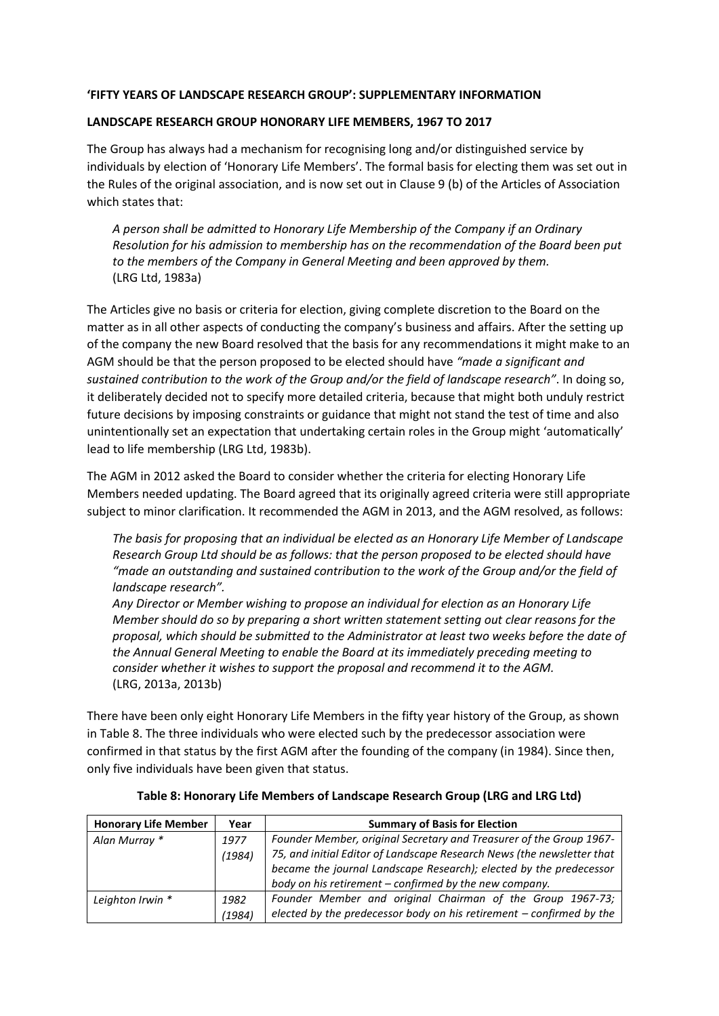## **'FIFTY YEARS OF LANDSCAPE RESEARCH GROUP': SUPPLEMENTARY INFORMATION**

## **LANDSCAPE RESEARCH GROUP HONORARY LIFE MEMBERS, 1967 TO 2017**

The Group has always had a mechanism for recognising long and/or distinguished service by individuals by election of 'Honorary Life Members'. The formal basis for electing them was set out in the Rules of the original association, and is now set out in Clause 9 (b) of the Articles of Association which states that:

*A person shall be admitted to Honorary Life Membership of the Company if an Ordinary Resolution for his admission to membership has on the recommendation of the Board been put to the members of the Company in General Meeting and been approved by them.* (LRG Ltd, 1983a)

The Articles give no basis or criteria for election, giving complete discretion to the Board on the matter as in all other aspects of conducting the company's business and affairs. After the setting up of the company the new Board resolved that the basis for any recommendations it might make to an AGM should be that the person proposed to be elected should have *"made a significant and sustained contribution to the work of the Group and/or the field of landscape research"*. In doing so, it deliberately decided not to specify more detailed criteria, because that might both unduly restrict future decisions by imposing constraints or guidance that might not stand the test of time and also unintentionally set an expectation that undertaking certain roles in the Group might 'automatically' lead to life membership (LRG Ltd, 1983b).

The AGM in 2012 asked the Board to consider whether the criteria for electing Honorary Life Members needed updating. The Board agreed that its originally agreed criteria were still appropriate subject to minor clarification. It recommended the AGM in 2013, and the AGM resolved, as follows:

*The basis for proposing that an individual be elected as an Honorary Life Member of Landscape Research Group Ltd should be as follows: that the person proposed to be elected should have "made an outstanding and sustained contribution to the work of the Group and/or the field of landscape research".*

*Any Director or Member wishing to propose an individual for election as an Honorary Life Member should do so by preparing a short written statement setting out clear reasons for the proposal, which should be submitted to the Administrator at least two weeks before the date of the Annual General Meeting to enable the Board at its immediately preceding meeting to consider whether it wishes to support the proposal and recommend it to the AGM.*  (LRG, 2013a, 2013b)

There have been only eight Honorary Life Members in the fifty year history of the Group, as shown in Table 8. The three individuals who were elected such by the predecessor association were confirmed in that status by the first AGM after the founding of the company (in 1984). Since then, only five individuals have been given that status.

| <b>Honorary Life Member</b> | Year   | <b>Summary of Basis for Election</b>                                   |
|-----------------------------|--------|------------------------------------------------------------------------|
| Alan Murray *               | 1977   | Founder Member, original Secretary and Treasurer of the Group 1967-    |
|                             | (1984) | 75, and initial Editor of Landscape Research News (the newsletter that |
|                             |        | became the journal Landscape Research); elected by the predecessor     |
|                             |        | body on his retirement - confirmed by the new company.                 |
| Leighton Irwin *            | 1982   | Founder Member and original Chairman of the Group 1967-73;             |
|                             | (1984) | elected by the predecessor body on his retirement $-$ confirmed by the |

**Table 8: Honorary Life Members of Landscape Research Group (LRG and LRG Ltd)**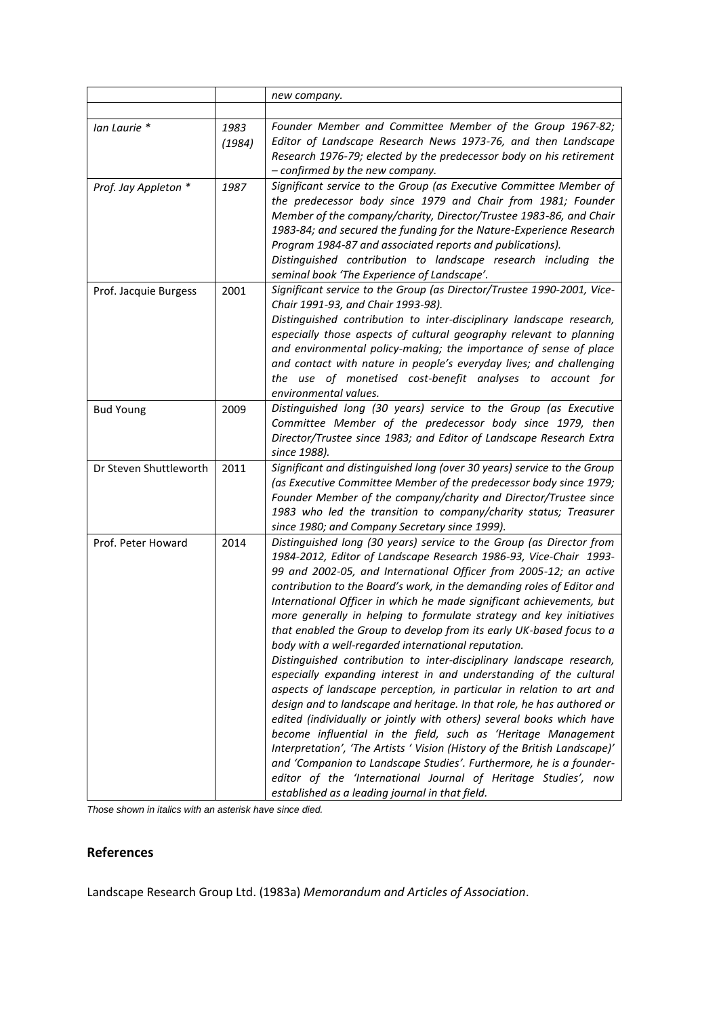|                        |                | new company.                                                                                                                                                                                                                                                                                                                                                                                                                                                                                                                                                                                                                                                                                                                                                                                                                                                                                                                                                                                                                                                                                                                                                                                                                                                                                |
|------------------------|----------------|---------------------------------------------------------------------------------------------------------------------------------------------------------------------------------------------------------------------------------------------------------------------------------------------------------------------------------------------------------------------------------------------------------------------------------------------------------------------------------------------------------------------------------------------------------------------------------------------------------------------------------------------------------------------------------------------------------------------------------------------------------------------------------------------------------------------------------------------------------------------------------------------------------------------------------------------------------------------------------------------------------------------------------------------------------------------------------------------------------------------------------------------------------------------------------------------------------------------------------------------------------------------------------------------|
|                        |                |                                                                                                                                                                                                                                                                                                                                                                                                                                                                                                                                                                                                                                                                                                                                                                                                                                                                                                                                                                                                                                                                                                                                                                                                                                                                                             |
| lan Laurie *           | 1983<br>(1984) | Founder Member and Committee Member of the Group 1967-82;<br>Editor of Landscape Research News 1973-76, and then Landscape<br>Research 1976-79; elected by the predecessor body on his retirement<br>- confirmed by the new company.                                                                                                                                                                                                                                                                                                                                                                                                                                                                                                                                                                                                                                                                                                                                                                                                                                                                                                                                                                                                                                                        |
| Prof. Jay Appleton *   | 1987           | Significant service to the Group (as Executive Committee Member of<br>the predecessor body since 1979 and Chair from 1981; Founder<br>Member of the company/charity, Director/Trustee 1983-86, and Chair<br>1983-84; and secured the funding for the Nature-Experience Research<br>Program 1984-87 and associated reports and publications).<br>Distinguished contribution to landscape research including the<br>seminal book 'The Experience of Landscape'.                                                                                                                                                                                                                                                                                                                                                                                                                                                                                                                                                                                                                                                                                                                                                                                                                               |
| Prof. Jacquie Burgess  | 2001           | Significant service to the Group (as Director/Trustee 1990-2001, Vice-<br>Chair 1991-93, and Chair 1993-98).<br>Distinguished contribution to inter-disciplinary landscape research,<br>especially those aspects of cultural geography relevant to planning<br>and environmental policy-making; the importance of sense of place<br>and contact with nature in people's everyday lives; and challenging<br>the use of monetised cost-benefit analyses to account for<br>environmental values.                                                                                                                                                                                                                                                                                                                                                                                                                                                                                                                                                                                                                                                                                                                                                                                               |
| <b>Bud Young</b>       | 2009           | Distinguished long (30 years) service to the Group (as Executive<br>Committee Member of the predecessor body since 1979, then<br>Director/Trustee since 1983; and Editor of Landscape Research Extra<br>since 1988).                                                                                                                                                                                                                                                                                                                                                                                                                                                                                                                                                                                                                                                                                                                                                                                                                                                                                                                                                                                                                                                                        |
| Dr Steven Shuttleworth | 2011           | Significant and distinguished long (over 30 years) service to the Group<br>(as Executive Committee Member of the predecessor body since 1979;<br>Founder Member of the company/charity and Director/Trustee since<br>1983 who led the transition to company/charity status; Treasurer<br>since 1980; and Company Secretary since 1999).                                                                                                                                                                                                                                                                                                                                                                                                                                                                                                                                                                                                                                                                                                                                                                                                                                                                                                                                                     |
| Prof. Peter Howard     | 2014           | Distinguished long (30 years) service to the Group (as Director from<br>1984-2012, Editor of Landscape Research 1986-93, Vice-Chair 1993-<br>99 and 2002-05, and International Officer from 2005-12; an active<br>contribution to the Board's work, in the demanding roles of Editor and<br>International Officer in which he made significant achievements, but<br>more generally in helping to formulate strategy and key initiatives<br>that enabled the Group to develop from its early UK-based focus to a<br>body with a well-regarded international reputation.<br>Distinguished contribution to inter-disciplinary landscape research,<br>especially expanding interest in and understanding of the cultural<br>aspects of landscape perception, in particular in relation to art and<br>design and to landscape and heritage. In that role, he has authored or<br>edited (individually or jointly with others) several books which have<br>become influential in the field, such as 'Heritage Management<br>Interpretation', 'The Artists ' Vision (History of the British Landscape)'<br>and 'Companion to Landscape Studies'. Furthermore, he is a founder-<br>editor of the 'International Journal of Heritage Studies', now<br>established as a leading journal in that field. |

*Those shown in italics with an asterisk have since died.*

## **References**

Landscape Research Group Ltd. (1983a) *Memorandum and Articles of Association*.